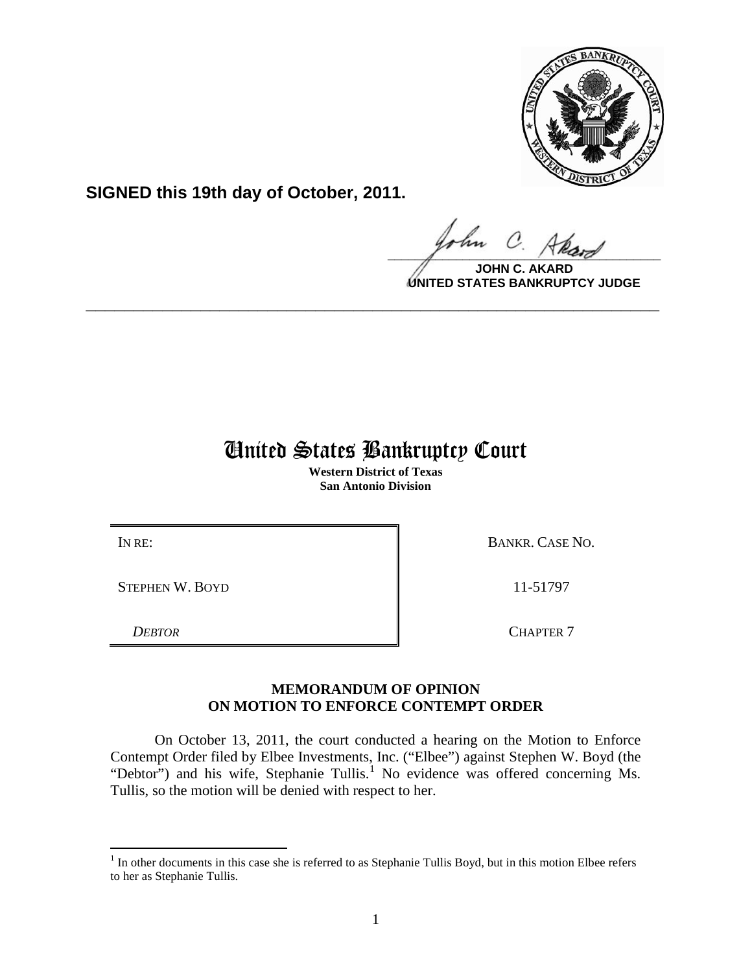

**SIGNED this 19th day of October, 2011.**

 $\Omega$  $\frac{1}{\sqrt{1-\frac{1}{2}}\sqrt{1-\frac{1}{2}}\sqrt{1-\frac{1}{2}}\sqrt{1-\frac{1}{2}}\sqrt{1-\frac{1}{2}}\sqrt{1-\frac{1}{2}}\sqrt{1-\frac{1}{2}}\sqrt{1-\frac{1}{2}}\sqrt{1-\frac{1}{2}}\sqrt{1-\frac{1}{2}}\sqrt{1-\frac{1}{2}}\sqrt{1-\frac{1}{2}}\sqrt{1-\frac{1}{2}}\sqrt{1-\frac{1}{2}}\sqrt{1-\frac{1}{2}}\sqrt{1-\frac{1}{2}}\sqrt{1-\frac{1}{2}}\sqrt{1-\frac{1}{2}}\sqrt{1-\frac{1}{2}}\sqrt{1-\frac$ 

**JOHN C. AKARD UNITED STATES BANKRUPTCY JUDGE**

## United States Bankruptcy Court

**\_\_\_\_\_\_\_\_\_\_\_\_\_\_\_\_\_\_\_\_\_\_\_\_\_\_\_\_\_\_\_\_\_\_\_\_\_\_\_\_\_\_\_\_\_\_\_\_\_\_\_\_\_\_\_\_\_\_\_\_**

**Western District of Texas San Antonio Division**

STEPHEN W. BOYD 11-51797

IN RE: BANKR. CASE NO.

*DEBTOR* CHAPTER 7

## **MEMORANDUM OF OPINION ON MOTION TO ENFORCE CONTEMPT ORDER**

On October 13, 2011, the court conducted a hearing on the Motion to Enforce Contempt Order filed by Elbee Investments, Inc. ("Elbee") against Stephen W. Boyd (the "Debtor") and his wife, Stephanie Tullis.<sup>[1](#page-0-0)</sup> No evidence was offered concerning Ms. Tullis, so the motion will be denied with respect to her.

<span id="page-0-0"></span><sup>&</sup>lt;sup>1</sup> In other documents in this case she is referred to as Stephanie Tullis Boyd, but in this motion Elbee refers to her as Stephanie Tullis.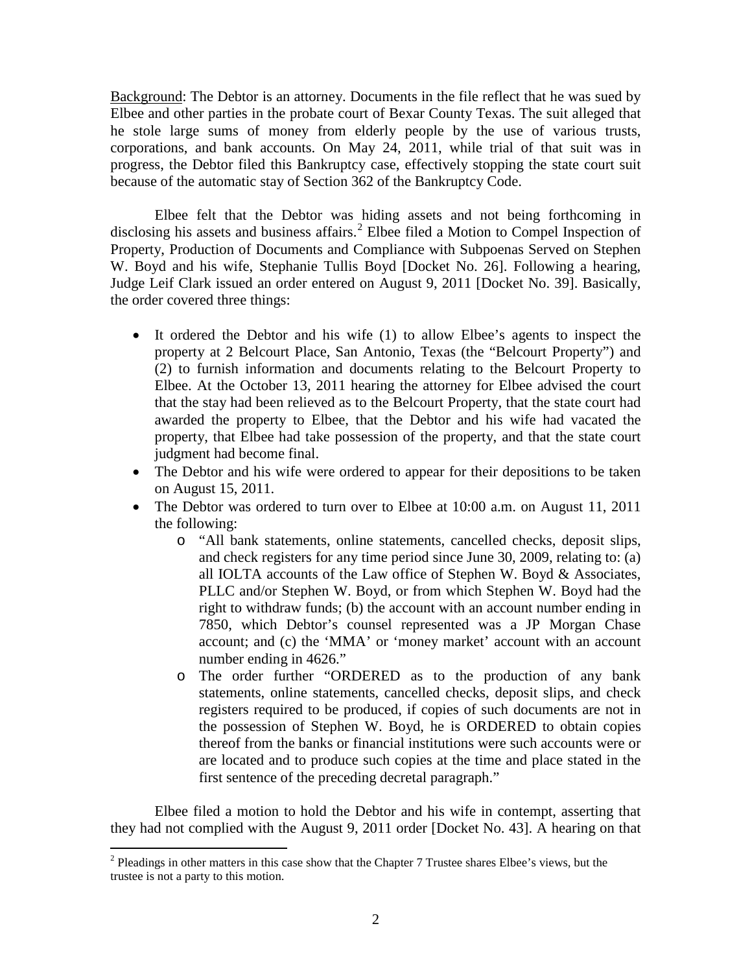Background: The Debtor is an attorney. Documents in the file reflect that he was sued by Elbee and other parties in the probate court of Bexar County Texas. The suit alleged that he stole large sums of money from elderly people by the use of various trusts, corporations, and bank accounts. On May 24, 2011, while trial of that suit was in progress, the Debtor filed this Bankruptcy case, effectively stopping the state court suit because of the automatic stay of Section 362 of the Bankruptcy Code.

Elbee felt that the Debtor was hiding assets and not being forthcoming in disclosing his assets and business affairs.<sup>[2](#page-1-0)</sup> Elbee filed a Motion to Compel Inspection of Property, Production of Documents and Compliance with Subpoenas Served on Stephen W. Boyd and his wife, Stephanie Tullis Boyd [Docket No. 26]. Following a hearing, Judge Leif Clark issued an order entered on August 9, 2011 [Docket No. 39]. Basically, the order covered three things:

- It ordered the Debtor and his wife (1) to allow Elbee's agents to inspect the property at 2 Belcourt Place, San Antonio, Texas (the "Belcourt Property") and (2) to furnish information and documents relating to the Belcourt Property to Elbee. At the October 13, 2011 hearing the attorney for Elbee advised the court that the stay had been relieved as to the Belcourt Property, that the state court had awarded the property to Elbee, that the Debtor and his wife had vacated the property, that Elbee had take possession of the property, and that the state court judgment had become final.
- The Debtor and his wife were ordered to appear for their depositions to be taken on August 15, 2011.
- The Debtor was ordered to turn over to Elbee at 10:00 a.m. on August 11, 2011 the following:
	- o "All bank statements, online statements, cancelled checks, deposit slips, and check registers for any time period since June 30, 2009, relating to: (a) all IOLTA accounts of the Law office of Stephen W. Boyd & Associates, PLLC and/or Stephen W. Boyd, or from which Stephen W. Boyd had the right to withdraw funds; (b) the account with an account number ending in 7850, which Debtor's counsel represented was a JP Morgan Chase account; and (c) the 'MMA' or 'money market' account with an account number ending in 4626."
	- o The order further "ORDERED as to the production of any bank statements, online statements, cancelled checks, deposit slips, and check registers required to be produced, if copies of such documents are not in the possession of Stephen W. Boyd, he is ORDERED to obtain copies thereof from the banks or financial institutions were such accounts were or are located and to produce such copies at the time and place stated in the first sentence of the preceding decretal paragraph."

Elbee filed a motion to hold the Debtor and his wife in contempt, asserting that they had not complied with the August 9, 2011 order [Docket No. 43]. A hearing on that

<span id="page-1-0"></span> $2$  Pleadings in other matters in this case show that the Chapter 7 Trustee shares Elbee's views, but the trustee is not a party to this motion.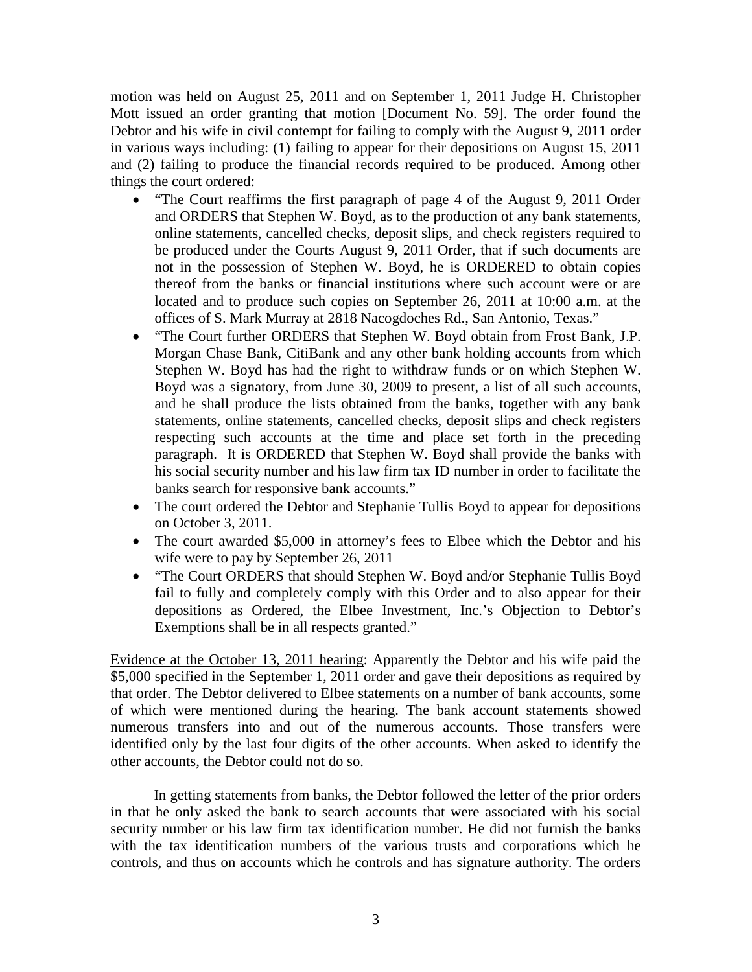motion was held on August 25, 2011 and on September 1, 2011 Judge H. Christopher Mott issued an order granting that motion [Document No. 59]. The order found the Debtor and his wife in civil contempt for failing to comply with the August 9, 2011 order in various ways including: (1) failing to appear for their depositions on August 15, 2011 and (2) failing to produce the financial records required to be produced. Among other things the court ordered:

- "The Court reaffirms the first paragraph of page 4 of the August 9, 2011 Order and ORDERS that Stephen W. Boyd, as to the production of any bank statements, online statements, cancelled checks, deposit slips, and check registers required to be produced under the Courts August 9, 2011 Order, that if such documents are not in the possession of Stephen W. Boyd, he is ORDERED to obtain copies thereof from the banks or financial institutions where such account were or are located and to produce such copies on September 26, 2011 at 10:00 a.m. at the offices of S. Mark Murray at 2818 Nacogdoches Rd., San Antonio, Texas."
- "The Court further ORDERS that Stephen W. Boyd obtain from Frost Bank, J.P. Morgan Chase Bank, CitiBank and any other bank holding accounts from which Stephen W. Boyd has had the right to withdraw funds or on which Stephen W. Boyd was a signatory, from June 30, 2009 to present, a list of all such accounts, and he shall produce the lists obtained from the banks, together with any bank statements, online statements, cancelled checks, deposit slips and check registers respecting such accounts at the time and place set forth in the preceding paragraph. It is ORDERED that Stephen W. Boyd shall provide the banks with his social security number and his law firm tax ID number in order to facilitate the banks search for responsive bank accounts."
- The court ordered the Debtor and Stephanie Tullis Boyd to appear for depositions on October 3, 2011.
- The court awarded \$5,000 in attorney's fees to Elbee which the Debtor and his wife were to pay by September 26, 2011
- "The Court ORDERS that should Stephen W. Boyd and/or Stephanie Tullis Boyd fail to fully and completely comply with this Order and to also appear for their depositions as Ordered, the Elbee Investment, Inc.'s Objection to Debtor's Exemptions shall be in all respects granted."

Evidence at the October 13, 2011 hearing: Apparently the Debtor and his wife paid the \$5,000 specified in the September 1, 2011 order and gave their depositions as required by that order. The Debtor delivered to Elbee statements on a number of bank accounts, some of which were mentioned during the hearing. The bank account statements showed numerous transfers into and out of the numerous accounts. Those transfers were identified only by the last four digits of the other accounts. When asked to identify the other accounts, the Debtor could not do so.

In getting statements from banks, the Debtor followed the letter of the prior orders in that he only asked the bank to search accounts that were associated with his social security number or his law firm tax identification number. He did not furnish the banks with the tax identification numbers of the various trusts and corporations which he controls, and thus on accounts which he controls and has signature authority. The orders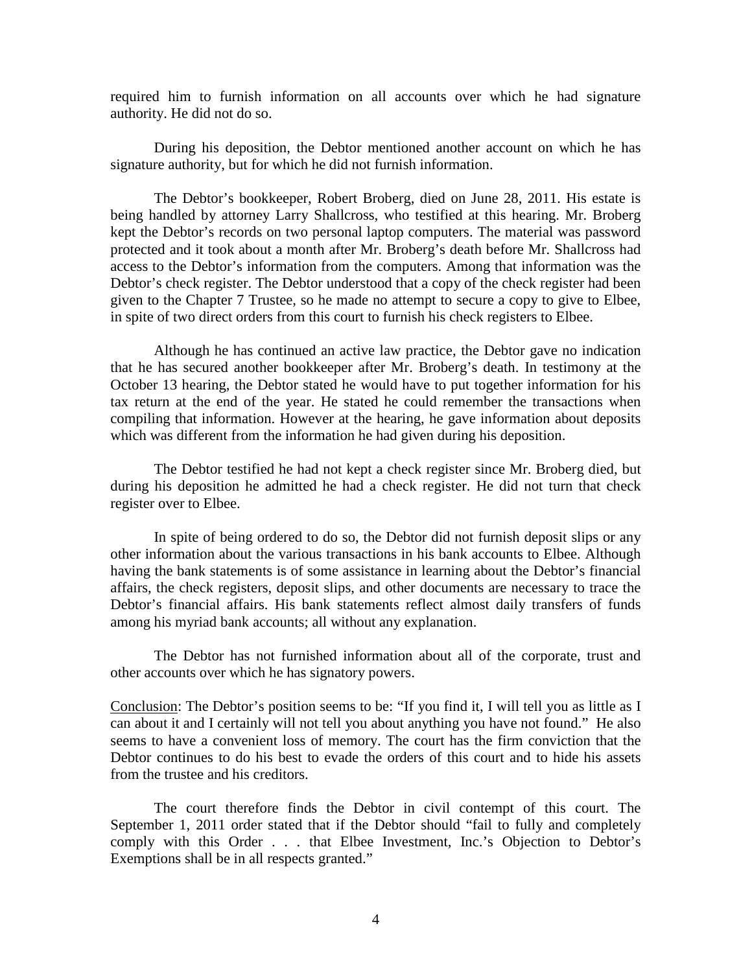required him to furnish information on all accounts over which he had signature authority. He did not do so.

During his deposition, the Debtor mentioned another account on which he has signature authority, but for which he did not furnish information.

The Debtor's bookkeeper, Robert Broberg, died on June 28, 2011. His estate is being handled by attorney Larry Shallcross, who testified at this hearing. Mr. Broberg kept the Debtor's records on two personal laptop computers. The material was password protected and it took about a month after Mr. Broberg's death before Mr. Shallcross had access to the Debtor's information from the computers. Among that information was the Debtor's check register. The Debtor understood that a copy of the check register had been given to the Chapter 7 Trustee, so he made no attempt to secure a copy to give to Elbee, in spite of two direct orders from this court to furnish his check registers to Elbee.

Although he has continued an active law practice, the Debtor gave no indication that he has secured another bookkeeper after Mr. Broberg's death. In testimony at the October 13 hearing, the Debtor stated he would have to put together information for his tax return at the end of the year. He stated he could remember the transactions when compiling that information. However at the hearing, he gave information about deposits which was different from the information he had given during his deposition.

The Debtor testified he had not kept a check register since Mr. Broberg died, but during his deposition he admitted he had a check register. He did not turn that check register over to Elbee.

In spite of being ordered to do so, the Debtor did not furnish deposit slips or any other information about the various transactions in his bank accounts to Elbee. Although having the bank statements is of some assistance in learning about the Debtor's financial affairs, the check registers, deposit slips, and other documents are necessary to trace the Debtor's financial affairs. His bank statements reflect almost daily transfers of funds among his myriad bank accounts; all without any explanation.

The Debtor has not furnished information about all of the corporate, trust and other accounts over which he has signatory powers.

Conclusion: The Debtor's position seems to be: "If you find it, I will tell you as little as I can about it and I certainly will not tell you about anything you have not found." He also seems to have a convenient loss of memory. The court has the firm conviction that the Debtor continues to do his best to evade the orders of this court and to hide his assets from the trustee and his creditors.

The court therefore finds the Debtor in civil contempt of this court. The September 1, 2011 order stated that if the Debtor should "fail to fully and completely comply with this Order . . . that Elbee Investment, Inc.'s Objection to Debtor's Exemptions shall be in all respects granted."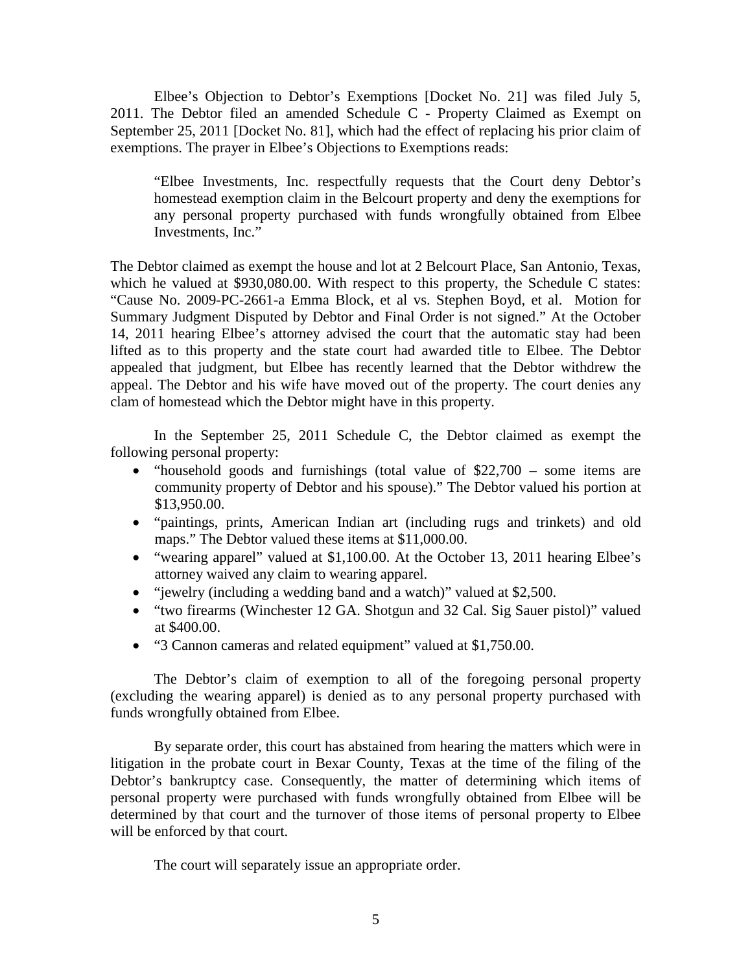Elbee's Objection to Debtor's Exemptions [Docket No. 21] was filed July 5, 2011. The Debtor filed an amended Schedule C - Property Claimed as Exempt on September 25, 2011 [Docket No. 81], which had the effect of replacing his prior claim of exemptions. The prayer in Elbee's Objections to Exemptions reads:

"Elbee Investments, Inc. respectfully requests that the Court deny Debtor's homestead exemption claim in the Belcourt property and deny the exemptions for any personal property purchased with funds wrongfully obtained from Elbee Investments, Inc."

The Debtor claimed as exempt the house and lot at 2 Belcourt Place, San Antonio, Texas, which he valued at \$930,080.00. With respect to this property, the Schedule C states: "Cause No. 2009-PC-2661-a Emma Block, et al vs. Stephen Boyd, et al. Motion for Summary Judgment Disputed by Debtor and Final Order is not signed." At the October 14, 2011 hearing Elbee's attorney advised the court that the automatic stay had been lifted as to this property and the state court had awarded title to Elbee. The Debtor appealed that judgment, but Elbee has recently learned that the Debtor withdrew the appeal. The Debtor and his wife have moved out of the property. The court denies any clam of homestead which the Debtor might have in this property.

In the September 25, 2011 Schedule C, the Debtor claimed as exempt the following personal property:

- "household goods and furnishings (total value of \$22,700 some items are community property of Debtor and his spouse)." The Debtor valued his portion at \$13,950.00.
- "paintings, prints, American Indian art (including rugs and trinkets) and old maps." The Debtor valued these items at \$11,000.00.
- "wearing apparel" valued at \$1,100.00. At the October 13, 2011 hearing Elbee's attorney waived any claim to wearing apparel.
- "jewelry (including a wedding band and a watch)" valued at \$2,500.
- "two firearms (Winchester 12 GA. Shotgun and 32 Cal. Sig Sauer pistol)" valued at \$400.00.
- "3 Cannon cameras and related equipment" valued at \$1,750.00.

The Debtor's claim of exemption to all of the foregoing personal property (excluding the wearing apparel) is denied as to any personal property purchased with funds wrongfully obtained from Elbee.

By separate order, this court has abstained from hearing the matters which were in litigation in the probate court in Bexar County, Texas at the time of the filing of the Debtor's bankruptcy case. Consequently, the matter of determining which items of personal property were purchased with funds wrongfully obtained from Elbee will be determined by that court and the turnover of those items of personal property to Elbee will be enforced by that court.

The court will separately issue an appropriate order.